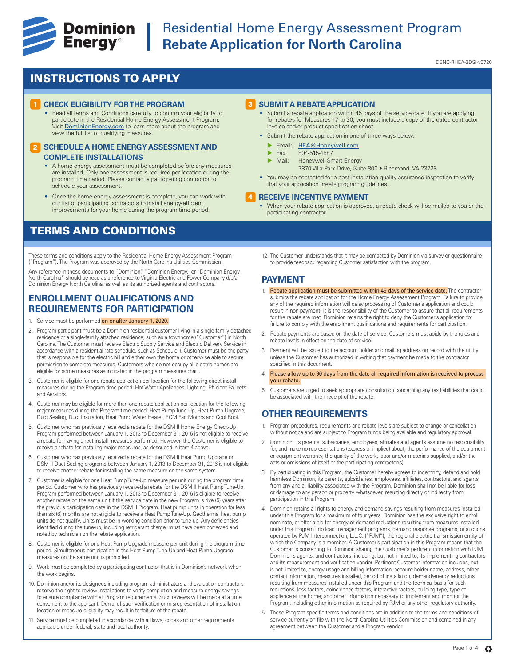

# **Example 19 Dominion** Residential Home Energy Assessment Program<br> **Energy**® Rebate Application for North Carolina **Rebate Application for North Carolina**

DENC-RHEA-3DSI-v0720

## INSTRUCTIONS TO APPLY

## **CHECK ELIGIBILITY FOR THE PROGRAM**

• Read all Terms and Conditions carefully to confirm your eligibility to participate in the Residential Home Energy Assessment Program. Visit DominionEnergy.com to learn more about the program and view the full list of qualifying measures.

### **2 SCHEDULE A HOME ENERGY ASSESSMENT AND COMPLETE INSTALLATIONS**

- A home energy assessment must be completed before any measures are installed. Only one assessment is required per location during the program time period. Please contact a participating contractor to schedule your assessment.
- Once the home energy assessment is complete, you can work with our list of participating contractors to install energy-efficient improvements for your home during the program time period.

## TERMS AND CONDITIONS

These terms and conditions apply to the Residential Home Energy Assessment Program ("Program"). The Program was approved by the North Carolina Utilities Commission.

Any reference in these documents to "Dominion," "Dominion Energy," or "Dominion Energy<br>North Carolina" should be read as a reference to Virginia Electric and Power Company d/b/a Dominion Energy North Carolina, as well as its authorized agents and contractors.

## **ENROLLMENT QUALIFICATIONS AND REQUIREMENTS FOR PARTICIPATION**

- 1. Service must be performed on or after January 1, 2020.
- 2. Program participant must be a Dominion residential customer living in a single-family detached residence or a single-family attached residence, such as a townhome ("Customer") in North Carolina. The Customer must receive Electric Supply Service and Electric Delivery Service in accordance with a residential rate schedule, such as Schedule 1. Customer must be the party that is responsible for the electric bill and either own the home or otherwise able to secure permission to complete measures. Customers who do not occupy all-electric homes are eligible for some measures as indicated in the program measures chart.
- 3. Customer is eligible for one rebate application per location for the following direct install measures during the Program time period: Hot Water Appliances, Lighting, Efficient Faucets and Aerators.
- 4. Customer may be eligible for more than one rebate application per location for the following major measures during the Program time period: Heat Pump Tune-Up, Heat Pump Upgrade, Duct Sealing, Duct Insulation, Heat Pump Water Heater, ECM Fan Motors and Cool Roof.
- 5. Customer who has previously received a rebate for the DSM II Home Energy Check-Up Program performed between January 1, 2013 to December 31, 2016 is not eligible to receive a rebate for having direct install measures performed. However, the Customer is eligible to receive a rebate for installing major measures, as described in item 4 above.
- 6. Customer who has previously received a rebate for the DSM II Heat Pump Upgrade or DSM II Duct Sealing programs between January 1, 2013 to December 31, 2016 is not eligible to receive another rebate for installing the same measure on the same system.
- 7. Customer is eligible for one Heat Pump Tune-Up measure per unit during the program time period. Customer who has previously received a rebate for the DSM II Heat Pump Tune-Up Program performed between January 1, 2013 to December 31, 2016 is eligible to receive another rebate on the same unit if the service date in the new Program is five (5) years after the previous participation date in the DSM II Program. Heat pump units in operation for less than six (6) months are not eligible to receive a Heat Pump Tune-Up. Geothermal heat pump units do not qualify. Units must be in working condition prior to tune-up. Any deficiencies identified during the tune-up, including refrigerant charge, must have been corrected and noted by technician on the rebate application.
- 8. Customer is eligible for one Heat Pump Upgrade measure per unit during the program time period. Simultaneous participation in the Heat Pump Tune-Up and Heat Pump Upgrade measures on the same unit is prohibited.
- 9. Work must be completed by a participating contractor that is in Dominion's network when the work begins.
- 10. Dominion and/or its designees including program administrators and evaluation contractors reserve the right to review installations to verify completion and measure energy savings to ensure compliance with all Program requirements. Such reviews will be made at a time convenient to the applicant. Denial of such verification or misrepresentation of installation location or measure eligibility may result in forfeiture of the rebate.
- 11. Service must be completed in accordance with all laws, codes and other requirements applicable under federal, state and local authority.

### **3** SUBMIT A REBATE APPLICATION

- Submit a rebate application within 45 days of the service date. If you are applying for rebates for Measures 17 to 30, you must include a copy of the dated contractor invoice and/or product specification sheet.
- Submit the rebate application in one of three ways below:
	- Email: HEA@Honeywell.com
	- $\triangleright$  Fax: 804-515-1587
	- Honeywell Smart Energy
		- 7870 Villa Park Drive, Suite 800 Richmond, VA 23228
- You may be contacted for a post-installation quality assurance inspection to verify that your application meets program guidelines.

#### **RECEIVE INCENTIVE PAYMENT** 4

- When your rebate application is approved, a rebate check will be mailed to you or the participating contractor.
- 12. The Customer understands that it may be contacted by Dominion via survey or questionnaire to provide feedback regarding Customer satisfaction with the program.

## **PAYMENT**

- 1. Rebate application must be submitted within 45 days of the service date. The contractor submits the rebate application for the Home Energy Assessment Program. Failure to provide any of the required information will delay processing of Customer's application and could result in non-payment. It is the responsibility of the Customer to assure that all requirements for the rebate are met. Dominion retains the right to deny the Customer's application for failure to comply with the enrollment qualifications and requirements for participation.
- 2. Rebate payments are based on the date of service. Customers must abide by the rules and rebate levels in effect on the date of service.
- 3. Payment will be issued to the account holder and mailing address on record with the utility unless the Customer has authorized in writing that payment be made to the contractor specified in this document.
- 4. Please allow up to 90 days from the date all required information is received to process your rebate.
- 5. Customers are urged to seek appropriate consultation concerning any tax liabilities that could be associated with their receipt of the rebate.

## **OTHER REQUIREMENTS**

- 1. Program procedures, requirements and rebate levels are subject to change or cancellation without notice and are subject to Program funds being available and regulatory approval.
- 2. Dominion, its parents, subsidiaries, employees, affiliates and agents assume no responsibility for, and make no representations (express or implied) about, the performance of the equipment or equipment warranty, the quality of the work, labor and/or materials supplied, and/or the acts or omissions of itself or the participating contractor(s).
- 3. By participating in this Program, the Customer hereby agrees to indemnify, defend and hold harmless Dominion, its parents, subsidiaries, employees, affiliates, contractors, and agents from any and all liability associated with the Program. Dominion shall not be liable for loss or damage to any person or property whatsoever, resulting directly or indirectly from participation in this Program.
- 4. Dominion retains all rights to energy and demand savings resulting from measures installed under this Program for a maximum of four years. Dominion has the exclusive right to enroll, nominate, or offer a bid for energy or demand reductions resulting from measures installed under this Program into load management programs, demand response programs, or auctions operated by PJM Interconnection, L.L.C. ("PJM"), the regional electric transmission entity of which the Company is a member. A Customer's participation in this Program means that the Customer is consenting to Dominion sharing the Customer's pertinent information with PJM, Dominion's agents, and contractors, including, but not limited to, its implementing contractors and its measurement and verification vendor. Pertinent Customer information includes, but is not limited to, energy usage and billing information, account holder name, address, other contact information, measures installed, period of installation, demand/energy reductions resulting from measures installed under this Program and the technical basis for such reductions, loss factors, coincidence factors, interactive factors, building type, type of appliance at the home, and other information necessary to implement and monitor the Program, including other information as required by PJM or any other regulatory authority.
- 5. These Program specific terms and conditions are in addition to the terms and conditions of service currently on file with the North Carolina Utilities Commission and contained in any agreement between the Customer and a Program vendor.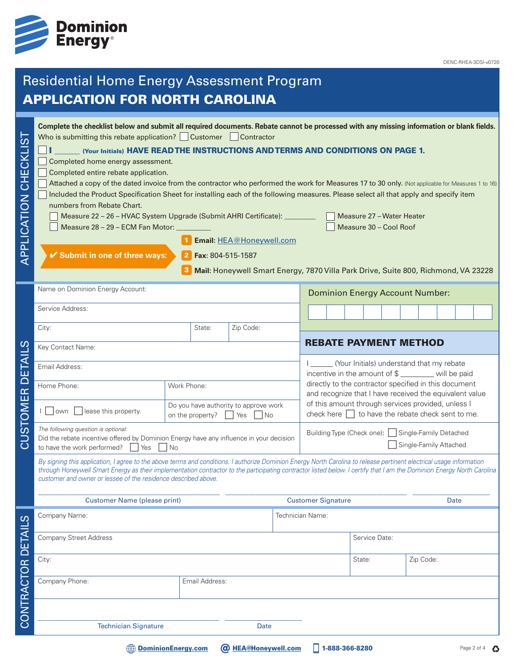

DENC-RHEA-3DSI-v0720

# Residential Home Energy Assessment Program APPLICATION FOR NORTH CAROLINA

| ທ່<br>APPLICATION CHECKLI | Complete the checklist below and submit all required documents. Rebate cannot be processed with any missing information or blank fields.<br>Who is submitting this rebate application? Customer Contractor<br>(Your Initials) HAVE READ THE INSTRUCTIONS AND TERMS AND CONDITIONS ON PAGE 1.<br>Completed home energy assessment.<br>Completed entire rebate application.<br>Attached a copy of the dated invoice from the contractor who performed the work for Measures 17 to 30 only. (Not applicable for Measures 1 to 16)<br>Included the Product Specification Sheet for installing each of the following measures. Please select all that apply and specify item<br>numbers from Rebate Chart.<br>Measure 22 - 26 - HVAC System Upgrade (Submit AHRI Certificate): ________<br>Measure 28 - 29 - ECM Fan Motor:<br>✔ Submit in one of three ways: |                                                                             | Fax: 804-515-1587 | Email: HEA@Honeywell.com<br>Mail: Honeywell Smart Energy, 7870 Villa Park Drive, Suite 800, Richmond, VA 23228 |  |                                                                                                                                                                         |                                           | Measure 27 - Water Heater<br>Measure 30 - Cool Roof |  |           |  |  |
|---------------------------|----------------------------------------------------------------------------------------------------------------------------------------------------------------------------------------------------------------------------------------------------------------------------------------------------------------------------------------------------------------------------------------------------------------------------------------------------------------------------------------------------------------------------------------------------------------------------------------------------------------------------------------------------------------------------------------------------------------------------------------------------------------------------------------------------------------------------------------------------------|-----------------------------------------------------------------------------|-------------------|----------------------------------------------------------------------------------------------------------------|--|-------------------------------------------------------------------------------------------------------------------------------------------------------------------------|-------------------------------------------|-----------------------------------------------------|--|-----------|--|--|
|                           | Name on Dominion Energy Account:                                                                                                                                                                                                                                                                                                                                                                                                                                                                                                                                                                                                                                                                                                                                                                                                                         |                                                                             |                   |                                                                                                                |  |                                                                                                                                                                         | <b>Dominion Energy Account Number:</b>    |                                                     |  |           |  |  |
|                           | Service Address:                                                                                                                                                                                                                                                                                                                                                                                                                                                                                                                                                                                                                                                                                                                                                                                                                                         |                                                                             |                   |                                                                                                                |  |                                                                                                                                                                         |                                           |                                                     |  |           |  |  |
|                           | City:                                                                                                                                                                                                                                                                                                                                                                                                                                                                                                                                                                                                                                                                                                                                                                                                                                                    | Zip Code:                                                                   |                   |                                                                                                                |  |                                                                                                                                                                         |                                           |                                                     |  |           |  |  |
| ၯ                         | Key Contact Name:                                                                                                                                                                                                                                                                                                                                                                                                                                                                                                                                                                                                                                                                                                                                                                                                                                        |                                                                             |                   |                                                                                                                |  | <b>REBATE PAYMENT METHOD</b>                                                                                                                                            |                                           |                                                     |  |           |  |  |
|                           | Email Address:                                                                                                                                                                                                                                                                                                                                                                                                                                                                                                                                                                                                                                                                                                                                                                                                                                           |                                                                             |                   |                                                                                                                |  |                                                                                                                                                                         | (Your Initials) understand that my rebate |                                                     |  |           |  |  |
| i<br>0                    | Home Phone:                                                                                                                                                                                                                                                                                                                                                                                                                                                                                                                                                                                                                                                                                                                                                                                                                                              | Work Phone:                                                                 |                   |                                                                                                                |  | incentive in the amount of \$ ________ will be paid<br>directly to the contractor specified in this document<br>and recognize that I have received the equivalent value |                                           |                                                     |  |           |  |  |
|                           |                                                                                                                                                                                                                                                                                                                                                                                                                                                                                                                                                                                                                                                                                                                                                                                                                                                          |                                                                             |                   |                                                                                                                |  |                                                                                                                                                                         |                                           |                                                     |  |           |  |  |
| STOMER                    | $\vert$ $\vert$ own<br>lease this property.                                                                                                                                                                                                                                                                                                                                                                                                                                                                                                                                                                                                                                                                                                                                                                                                              | Do you have authority to approve work<br>on the property?<br>$ $ Yes $ $ No |                   |                                                                                                                |  | of this amount through services provided, unless I<br>check here $\Box$ to have the rebate check sent to me.                                                            |                                           |                                                     |  |           |  |  |
| <u>ದ</u>                  | The following question is optional:<br>Did the rebate incentive offered by Dominion Energy have any influence in your decision<br>to have the work performed?<br>$ $ No<br>Yes                                                                                                                                                                                                                                                                                                                                                                                                                                                                                                                                                                                                                                                                           |                                                                             |                   |                                                                                                                |  | Building Type (Check one): Single-Family Detached<br>Single-Family Attached                                                                                             |                                           |                                                     |  |           |  |  |
|                           | By signing this application, I agree to the above terms and conditions. I authorize Dominion Energy North Carolina to release pertinent electrical usage information<br>through Honeywell Smart Energy as their implementation contractor to the participating contractor listed below. I certify that I am the Dominion Energy North Carolina<br>customer and owner or lessee of the residence described above.                                                                                                                                                                                                                                                                                                                                                                                                                                         |                                                                             |                   |                                                                                                                |  |                                                                                                                                                                         |                                           |                                                     |  |           |  |  |
|                           | <b>Customer Name (please print)</b>                                                                                                                                                                                                                                                                                                                                                                                                                                                                                                                                                                                                                                                                                                                                                                                                                      |                                                                             |                   |                                                                                                                |  | <b>Customer Signature</b><br>Date                                                                                                                                       |                                           |                                                     |  |           |  |  |
|                           | Company Name:                                                                                                                                                                                                                                                                                                                                                                                                                                                                                                                                                                                                                                                                                                                                                                                                                                            |                                                                             |                   | Technician Name:                                                                                               |  |                                                                                                                                                                         |                                           |                                                     |  |           |  |  |
|                           | <b>Company Street Address</b>                                                                                                                                                                                                                                                                                                                                                                                                                                                                                                                                                                                                                                                                                                                                                                                                                            |                                                                             |                   |                                                                                                                |  | Service Date:                                                                                                                                                           |                                           |                                                     |  |           |  |  |
|                           | City:                                                                                                                                                                                                                                                                                                                                                                                                                                                                                                                                                                                                                                                                                                                                                                                                                                                    |                                                                             |                   |                                                                                                                |  | State:                                                                                                                                                                  |                                           |                                                     |  | Zip Code: |  |  |
| CONTRACTOR DETAILS        | Company Phone:                                                                                                                                                                                                                                                                                                                                                                                                                                                                                                                                                                                                                                                                                                                                                                                                                                           |                                                                             | Email Address:    |                                                                                                                |  |                                                                                                                                                                         |                                           |                                                     |  |           |  |  |
|                           |                                                                                                                                                                                                                                                                                                                                                                                                                                                                                                                                                                                                                                                                                                                                                                                                                                                          |                                                                             |                   |                                                                                                                |  |                                                                                                                                                                         |                                           |                                                     |  |           |  |  |
|                           | <b>Technician Signature</b>                                                                                                                                                                                                                                                                                                                                                                                                                                                                                                                                                                                                                                                                                                                                                                                                                              |                                                                             |                   | <b>Date</b>                                                                                                    |  |                                                                                                                                                                         |                                           |                                                     |  |           |  |  |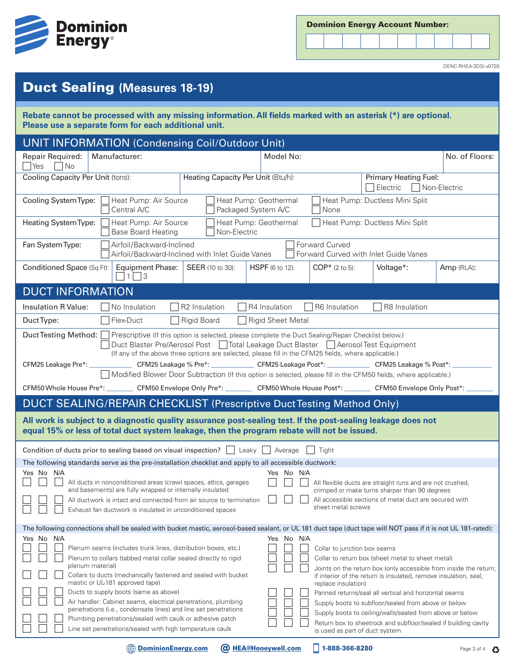

| <b>Dominion Energy Account Number:</b> |  |  |
|----------------------------------------|--|--|
|----------------------------------------|--|--|



DENC-RHEA-3DSI-v0720

## Duct Sealing **(Measures 18-19)**

**Rebate cannot be processed with any missing information. All fields marked with an asterisk (\*) are optional. Please use a separate form for each additional unit.** 

| <b>UNIT INFORMATION (Condensing Coil/Outdoor Unit)</b>                                                                                                                                                                                                                                                                                                                                                                                                                                                                                                                                                                                                                                                                |                                                                         |                                                   |                                                       |                                                                                                                                                                                                                                            |                |  |  |  |
|-----------------------------------------------------------------------------------------------------------------------------------------------------------------------------------------------------------------------------------------------------------------------------------------------------------------------------------------------------------------------------------------------------------------------------------------------------------------------------------------------------------------------------------------------------------------------------------------------------------------------------------------------------------------------------------------------------------------------|-------------------------------------------------------------------------|---------------------------------------------------|-------------------------------------------------------|--------------------------------------------------------------------------------------------------------------------------------------------------------------------------------------------------------------------------------------------|----------------|--|--|--|
| Repair Required:<br>Manufacturer:<br>$\neg$ No<br> Yes                                                                                                                                                                                                                                                                                                                                                                                                                                                                                                                                                                                                                                                                |                                                                         | Model No:                                         |                                                       |                                                                                                                                                                                                                                            | No. of Floors: |  |  |  |
| Cooling Capacity Per Unit (tons):                                                                                                                                                                                                                                                                                                                                                                                                                                                                                                                                                                                                                                                                                     | Heating Capacity Per Unit (Btu/h):                                      | Primary Heating Fuel:<br>Electric<br>Non-Electric |                                                       |                                                                                                                                                                                                                                            |                |  |  |  |
| Cooling System Type:<br>Heat Pump: Air Source<br>Central A/C                                                                                                                                                                                                                                                                                                                                                                                                                                                                                                                                                                                                                                                          | Heat Pump: Geothermal<br>Packaged System A/C                            |                                                   | None                                                  | Heat Pump: Ductless Mini Split                                                                                                                                                                                                             |                |  |  |  |
| Heating System Type:<br>Heat Pump: Air Source<br><b>Base Board Heating</b>                                                                                                                                                                                                                                                                                                                                                                                                                                                                                                                                                                                                                                            | Heat Pump: Ductless Mini Split<br>Heat Pump: Geothermal<br>Non-Electric |                                                   |                                                       |                                                                                                                                                                                                                                            |                |  |  |  |
| Airfoil/Backward-Inclined<br>Fan System Type:<br>Airfoil/Backward-Inclined with Inlet Guide Vanes                                                                                                                                                                                                                                                                                                                                                                                                                                                                                                                                                                                                                     |                                                                         |                                                   | Forward Curved                                        | Forward Curved with Inlet Guide Vanes                                                                                                                                                                                                      |                |  |  |  |
| Conditioned Space (Sq Ft):<br><b>Equipment Phase:</b><br>$1 \square$ 3                                                                                                                                                                                                                                                                                                                                                                                                                                                                                                                                                                                                                                                | <b>SEER</b> (10 to 30):                                                 | <b>HSPF</b> (6 to 12):                            | $COP*$ (2 to 5):                                      | Voltage*:                                                                                                                                                                                                                                  | Amp (RLA):     |  |  |  |
| <b>DUCT INFORMATION</b>                                                                                                                                                                                                                                                                                                                                                                                                                                                                                                                                                                                                                                                                                               |                                                                         |                                                   |                                                       |                                                                                                                                                                                                                                            |                |  |  |  |
| Insulation R Value:<br>No Insulation                                                                                                                                                                                                                                                                                                                                                                                                                                                                                                                                                                                                                                                                                  | R <sub>2</sub> Insulation                                               | R4 Insulation                                     | R6 Insulation                                         | R8 Insulation                                                                                                                                                                                                                              |                |  |  |  |
| Flex-Duct<br>Duct Type:                                                                                                                                                                                                                                                                                                                                                                                                                                                                                                                                                                                                                                                                                               | <b>Rigid Board</b>                                                      | <b>Rigid Sheet Metal</b>                          |                                                       |                                                                                                                                                                                                                                            |                |  |  |  |
| Duct Testing Method: Prescriptive (If this option is selected, please complete the Duct Sealing/Repair Checklist below.)<br>Duct Blaster Pre/Aerosol Post □ Total Leakage Duct Blaster □ Aerosol Test Equipment<br>(If any of the above three options are selected, please fill in the CFM25 fields, where applicable.)<br>CFM25 Leakage Pre*: _______________CFM25 Leakage % Pre*: ______________CFM25 Leakage Post*: _____________CFM25 Leakage % Post*: _<br>Modified Blower Door Subtraction (If this option is selected, please fill in the CFM50 fields, where applicable.)<br>CFM50 Whole House Pre*: _________ CFM50 Envelope Only Pre*: ________ CFM50 Whole House Post*: _______ CFM50 Envelope Only Post*: |                                                                         |                                                   |                                                       |                                                                                                                                                                                                                                            |                |  |  |  |
|                                                                                                                                                                                                                                                                                                                                                                                                                                                                                                                                                                                                                                                                                                                       |                                                                         |                                                   |                                                       |                                                                                                                                                                                                                                            |                |  |  |  |
| DUCT SEALING/REPAIR CHECKLIST (Prescriptive Duct Testing Method Only)<br>All work is subject to a diagnostic quality assurance post-sealing test. If the post-sealing leakage does not<br>equal 15% or less of total duct system leakage, then the program rebate will not be issued.                                                                                                                                                                                                                                                                                                                                                                                                                                 |                                                                         |                                                   |                                                       |                                                                                                                                                                                                                                            |                |  |  |  |
| Condition of ducts prior to sealing based on visual inspection?     Leaky   Average<br>Tight                                                                                                                                                                                                                                                                                                                                                                                                                                                                                                                                                                                                                          |                                                                         |                                                   |                                                       |                                                                                                                                                                                                                                            |                |  |  |  |
| The following standards serve as the pre-installation checklist and apply to all accessible ductwork:                                                                                                                                                                                                                                                                                                                                                                                                                                                                                                                                                                                                                 |                                                                         |                                                   |                                                       |                                                                                                                                                                                                                                            |                |  |  |  |
| Yes No N/A<br>All ducts in nonconditioned areas (crawl spaces, attics, garages                                                                                                                                                                                                                                                                                                                                                                                                                                                                                                                                                                                                                                        |                                                                         | Yes No N/A                                        |                                                       | All flexible ducts are straight runs and are not crushed,                                                                                                                                                                                  |                |  |  |  |
| and basements) are fully wrapped or internally insulated                                                                                                                                                                                                                                                                                                                                                                                                                                                                                                                                                                                                                                                              |                                                                         |                                                   |                                                       | crimped or make turns sharper than 90 degrees                                                                                                                                                                                              |                |  |  |  |
| All ductwork is intact and connected from air source to termination<br>Exhaust fan ductwork is insulated in unconditioned spaces<br>ــــا                                                                                                                                                                                                                                                                                                                                                                                                                                                                                                                                                                             |                                                                         |                                                   | sheet metal screws                                    | All accessible sections of metal duct are secured with                                                                                                                                                                                     |                |  |  |  |
| The following connections shall be sealed with bucket mastic, aerosol-based sealant, or UL 181 duct tape (duct tape will NOT pass if it is not UL 181-rated):                                                                                                                                                                                                                                                                                                                                                                                                                                                                                                                                                         |                                                                         |                                                   |                                                       |                                                                                                                                                                                                                                            |                |  |  |  |
| Yes No N/A<br>Plenum seams (includes trunk lines, distribution boxes, etc.)<br>Plenum to collars (tabbed metal collar sealed directly to rigid<br>plenum material)<br>Collars to ducts (mechanically fastened and sealed with bucket<br>mastic or UL-181 approved tape)                                                                                                                                                                                                                                                                                                                                                                                                                                               |                                                                         | No N/A<br>Yes                                     | Collar to junction box seams                          | Collar to return box (sheet metal to sheet metal)<br>Joints on the return box (only accessible from inside the return;<br>if interior of the return is insulated, remove insulation, seal,                                                 |                |  |  |  |
| Ducts to supply boots (same as above)<br>Air handler: Cabinet seams, electrical penetrations, plumbing<br>penetrations (i.e., condensate lines) and line set penetrations<br>Plumbing penetrations/sealed with caulk or adhesive patch<br>Line set penetrations/sealed with high temperature caulk                                                                                                                                                                                                                                                                                                                                                                                                                    |                                                                         |                                                   | replace insulation)<br>is used as part of duct system | Panned returns/seal all vertical and horizontal seams<br>Supply boots to subfloor/sealed from above or below<br>Supply boots to ceiling/walls/sealed from above or below<br>Return box to sheetrock and subfloor/sealed if building cavity |                |  |  |  |